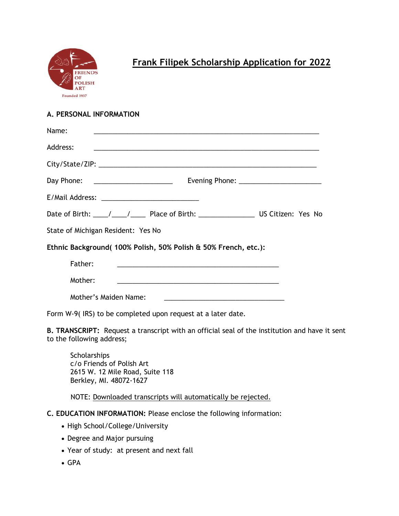

# **Frank Filipek Scholarship Application for 2022**

## **A. PERSONAL INFORMATION**

| Name:                              |                                                                                                                        |  |  |
|------------------------------------|------------------------------------------------------------------------------------------------------------------------|--|--|
| Address:                           | <u> 1989 - Jan James James James James James James James James James James James James James James James James</u>     |  |  |
|                                    |                                                                                                                        |  |  |
|                                    |                                                                                                                        |  |  |
|                                    |                                                                                                                        |  |  |
|                                    | Date of Birth: ____/ ____/ _____ Place of Birth: ________________________ US Citizen: Yes No                           |  |  |
| State of Michigan Resident: Yes No |                                                                                                                        |  |  |
|                                    | Ethnic Background(100% Polish, 50% Polish & 50% French, etc.):                                                         |  |  |
| Father:                            | <u> 1989 - Johann Harry Barn, mars and deutscher Schwarzer und der Stadt und der Stadt und der Stadt und der Stadt</u> |  |  |
| Mother:                            |                                                                                                                        |  |  |
| Mother's Maiden Name:              | <u> 1989 - Johann Harry Harry Harry Harry Harry Harry Harry Harry Harry Harry Harry Harry Harry Harry Harry Harry</u>  |  |  |

Form W-9( IRS) to be completed upon request at a later date.

**B. TRANSCRIPT:** Request a transcript with an official seal of the institution and have it sent to the following address;

**Scholarships** c/o Friends of Polish Art 2615 W. 12 Mile Road, Suite 118 Berkley, MI. 48072-1627

NOTE: Downloaded transcripts will automatically be rejected.

- **C. EDUCATION INFORMATION:** Please enclose the following information:
	- High School/College/University
	- Degree and Major pursuing
	- Year of study: at present and next fall
	- GPA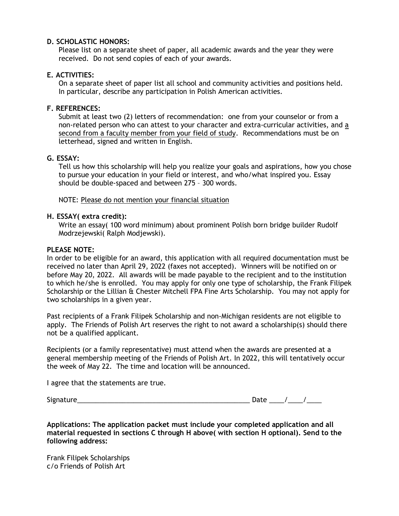## **D. SCHOLASTIC HONORS:**

Please list on a separate sheet of paper, all academic awards and the year they were received. Do not send copies of each of your awards.

## **E. ACTIVITIES:**

On a separate sheet of paper list all school and community activities and positions held. In particular, describe any participation in Polish American activities.

## **F. REFERENCES:**

Submit at least two (2) letters of recommendation: one from your counselor or from a non-related person who can attest to your character and extra-curricular activities, and a second from a faculty member from your field of study. Recommendations must be on letterhead, signed and written in English.

### **G. ESSAY:**

Tell us how this scholarship will help you realize your goals and aspirations, how you chose to pursue your education in your field or interest, and who/what inspired you. Essay should be double-spaced and between 275 – 300 words.

### NOTE: Please do not mention your financial situation

### **H. ESSAY( extra credit):**

Write an essay( 100 word minimum) about prominent Polish born bridge builder Rudolf Modrzejewski( Ralph Modjewski).

### **PLEASE NOTE:**

In order to be eligible for an award, this application with all required documentation must be received no later than April 29, 2022 (faxes not accepted). Winners will be notified on or before May 20, 2022. All awards will be made payable to the recipient and to the institution to which he/she is enrolled. You may apply for only one type of scholarship, the Frank Filipek Scholarship or the Lillian & Chester Mitchell FPA Fine Arts Scholarship. You may not apply for two scholarships in a given year.

Past recipients of a Frank Filipek Scholarship and non-Michigan residents are not eligible to apply. The Friends of Polish Art reserves the right to not award a scholarship(s) should there not be a qualified applicant.

Recipients (or a family representative) must attend when the awards are presented at a general membership meeting of the Friends of Polish Art. In 2022, this will tentatively occur the week of May 22. The time and location will be announced.

I agree that the statements are true.

 $Signature$   $\longrightarrow$ 

| uate |  |  |
|------|--|--|
|      |  |  |

**Applications: The application packet must include your completed application and all material requested in sections C through H above( with section H optional). Send to the following address:**

Frank Filipek Scholarships c/o Friends of Polish Art